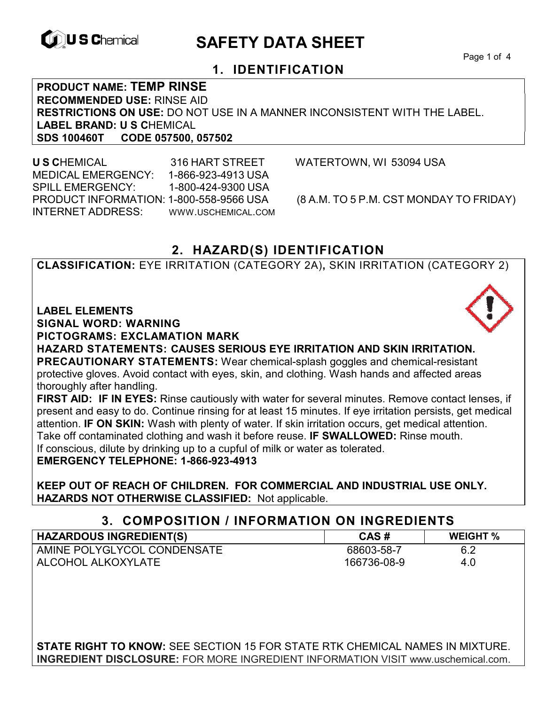

# **CONSCHIEF CONTROLS ARE SAFETY DATA SHEET**

Page 1 of 4

### **1. IDENTIFICATION**

**PRODUCT NAME: TEMP RINSE RECOMMENDED USE:** RINSE AID **RESTRICTIONS ON USE:** DO NOT USE IN A MANNER INCONSISTENT WITH THE LABEL. **LABEL BRAND: U S C**HEMICAL **SDS 100460T CODE 057500, 057502** 

 **U S C**HEMICAL 316 HART STREET WATERTOWN, WI 53094 USA MEDICAL EMERGENCY: 1-866-923-4913 USA SPILL EMERGENCY: 1-800-424-9300 USA PRODUCT INFORMATION: 1-800-558-9566 USA (8 A.M. TO 5 P.M. CST MONDAY TO FRIDAY) INTERNET ADDRESS: WWW.USCHEMICAL.COM

### **2. HAZARD(S) IDENTIFICATION**

**CLASSIFICATION:** EYE IRRITATION (CATEGORY 2A)**,** SKIN IRRITATION (CATEGORY 2)

#### **LABEL ELEMENTS**

**SIGNAL WORD: WARNING**

**PICTOGRAMS: EXCLAMATION MARK**

**HAZARD STATEMENTS: CAUSES SERIOUS EYE IRRITATION AND SKIN IRRITATION. PRECAUTIONARY STATEMENTS:** Wear chemical-splash goggles and chemical-resistant protective gloves. Avoid contact with eyes, skin, and clothing. Wash hands and affected areas thoroughly after handling.

**FIRST AID: IF IN EYES:** Rinse cautiously with water for several minutes. Remove contact lenses, if present and easy to do. Continue rinsing for at least 15 minutes. If eye irritation persists, get medical attention. **IF ON SKIN:** Wash with plenty of water. If skin irritation occurs, get medical attention. Take off contaminated clothing and wash it before reuse. **IF SWALLOWED:** Rinse mouth. If conscious, dilute by drinking up to a cupful of milk or water as tolerated.

**EMERGENCY TELEPHONE: 1-866-923-4913** 

**KEEP OUT OF REACH OF CHILDREN. FOR COMMERCIAL AND INDUSTRIAL USE ONLY. HAZARDS NOT OTHERWISE CLASSIFIED:** Not applicable.

#### **3. COMPOSITION / INFORMATION ON INGREDIENTS**

| <b>HAZARDOUS INGREDIENT(S)</b> | CAS#        | <b>WEIGHT %</b> |
|--------------------------------|-------------|-----------------|
| AMINE POLYGLYCOL CONDENSATE    | 68603-58-7  | 6.2             |
| ALCOHOL ALKOXYLATE             | 166736-08-9 | 4.0             |

**STATE RIGHT TO KNOW:** SEE SECTION 15 FOR STATE RTK CHEMICAL NAMES IN MIXTURE. **INGREDIENT DISCLOSURE:** FOR MORE INGREDIENT INFORMATION VISIT www.uschemical.com.

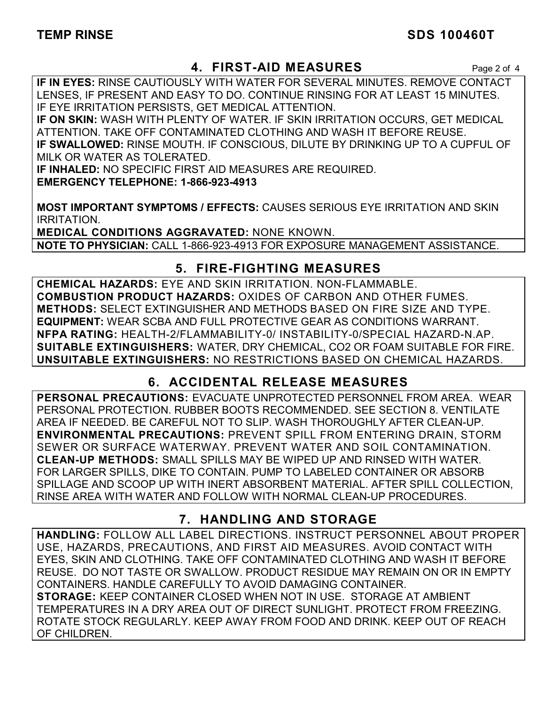### **TEMP RINSE** SDS 100460T

### **4. FIRST-AID MEASURES** Page 2 of 4

**IF IN EYES:** RINSE CAUTIOUSLY WITH WATER FOR SEVERAL MINUTES. REMOVE CONTACT LENSES, IF PRESENT AND EASY TO DO. CONTINUE RINSING FOR AT LEAST 15 MINUTES. IF EYE IRRITATION PERSISTS, GET MEDICAL ATTENTION.

**IF ON SKIN:** WASH WITH PLENTY OF WATER. IF SKIN IRRITATION OCCURS, GET MEDICAL ATTENTION. TAKE OFF CONTAMINATED CLOTHING AND WASH IT BEFORE REUSE. **IF SWALLOWED:** RINSE MOUTH. IF CONSCIOUS, DILUTE BY DRINKING UP TO A CUPFUL OF MILK OR WATER AS TOLERATED.

**IF INHALED:** NO SPECIFIC FIRST AID MEASURES ARE REQUIRED. **EMERGENCY TELEPHONE: 1-866-923-4913** 

**MOST IMPORTANT SYMPTOMS / EFFECTS:** CAUSES SERIOUS EYE IRRITATION AND SKIN IRRITATION.

**MEDICAL CONDITIONS AGGRAVATED:** NONE KNOWN. **NOTE TO PHYSICIAN:** CALL 1-866-923-4913 FOR EXPOSURE MANAGEMENT ASSISTANCE.

### **5. FIRE-FIGHTING MEASURES**

**CHEMICAL HAZARDS:** EYE AND SKIN IRRITATION. NON-FLAMMABLE. **COMBUSTION PRODUCT HAZARDS:** OXIDES OF CARBON AND OTHER FUMES. **METHODS:** SELECT EXTINGUISHER AND METHODS BASED ON FIRE SIZE AND TYPE. **EQUIPMENT:** WEAR SCBA AND FULL PROTECTIVE GEAR AS CONDITIONS WARRANT. **NFPA RATING:** HEALTH-2/FLAMMABILITY-0/ INSTABILITY-0/SPECIAL HAZARD-N.AP. **SUITABLE EXTINGUISHERS:** WATER, DRY CHEMICAL, CO2 OR FOAM SUITABLE FOR FIRE. **UNSUITABLE EXTINGUISHERS:** NO RESTRICTIONS BASED ON CHEMICAL HAZARDS.

## **6. ACCIDENTAL RELEASE MEASURES**

**PERSONAL PRECAUTIONS:** EVACUATE UNPROTECTED PERSONNEL FROM AREA. WEAR PERSONAL PROTECTION. RUBBER BOOTS RECOMMENDED. SEE SECTION 8. VENTILATE AREA IF NEEDED. BE CAREFUL NOT TO SLIP. WASH THOROUGHLY AFTER CLEAN-UP. **ENVIRONMENTAL PRECAUTIONS:** PREVENT SPILL FROM ENTERING DRAIN, STORM SEWER OR SURFACE WATERWAY. PREVENT WATER AND SOIL CONTAMINATION. **CLEAN-UP METHODS:** SMALL SPILLS MAY BE WIPED UP AND RINSED WITH WATER. FOR LARGER SPILLS, DIKE TO CONTAIN. PUMP TO LABELED CONTAINER OR ABSORB SPILLAGE AND SCOOP UP WITH INERT ABSORBENT MATERIAL. AFTER SPILL COLLECTION, RINSE AREA WITH WATER AND FOLLOW WITH NORMAL CLEAN-UP PROCEDURES.

### **7. HANDLING AND STORAGE**

**HANDLING:** FOLLOW ALL LABEL DIRECTIONS. INSTRUCT PERSONNEL ABOUT PROPER USE, HAZARDS, PRECAUTIONS, AND FIRST AID MEASURES. AVOID CONTACT WITH EYES, SKIN AND CLOTHING. TAKE OFF CONTAMINATED CLOTHING AND WASH IT BEFORE REUSE. DO NOT TASTE OR SWALLOW. PRODUCT RESIDUE MAY REMAIN ON OR IN EMPTY CONTAINERS. HANDLE CAREFULLY TO AVOID DAMAGING CONTAINER. **STORAGE:** KEEP CONTAINER CLOSED WHEN NOT IN USE. STORAGE AT AMBIENT TEMPERATURES IN A DRY AREA OUT OF DIRECT SUNLIGHT. PROTECT FROM FREEZING. ROTATE STOCK REGULARLY. KEEP AWAY FROM FOOD AND DRINK. KEEP OUT OF REACH OF CHILDREN.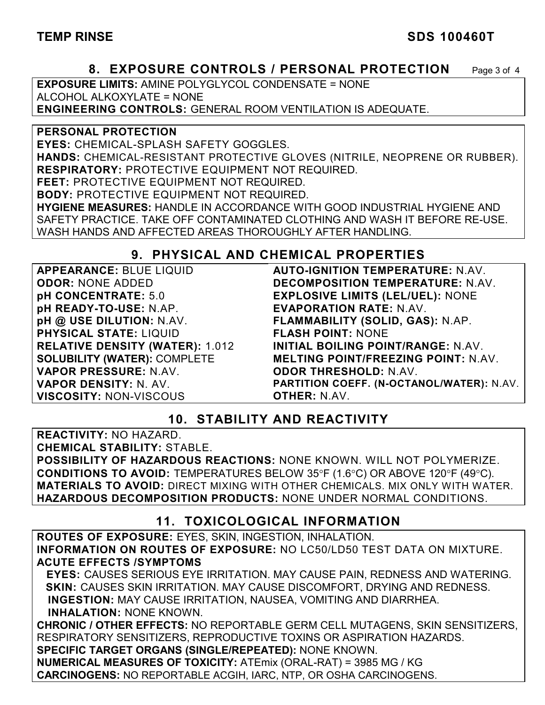#### TEMP RINSE SDS 100460T

#### **8. EXPOSURE CONTROLS / PERSONAL PROTECTION** Page 3 of 4

**EXPOSURE LIMITS:** AMINE POLYGLYCOL CONDENSATE = NONE ALCOHOL ALKOXYLATE = NONE **ENGINEERING CONTROLS:** GENERAL ROOM VENTILATION IS ADEQUATE.

**PERSONAL PROTECTION EYES:** CHEMICAL-SPLASH SAFETY GOGGLES. **HANDS:** CHEMICAL-RESISTANT PROTECTIVE GLOVES (NITRILE, NEOPRENE OR RUBBER). **RESPIRATORY:** PROTECTIVE EQUIPMENT NOT REQUIRED. **FEET:** PROTECTIVE EQUIPMENT NOT REQUIRED. **BODY:** PROTECTIVE EQUIPMENT NOT REQUIRED. **HYGIENE MEASURES:** HANDLE IN ACCORDANCE WITH GOOD INDUSTRIAL HYGIENE AND SAFETY PRACTICE. TAKE OFF CONTAMINATED CLOTHING AND WASH IT BEFORE RE-USE. WASH HANDS AND AFFECTED AREAS THOROUGHLY AFTER HANDLING.

#### **9. PHYSICAL AND CHEMICAL PROPERTIES**

**APPEARANCE:** BLUE LIQUID **ODOR:** NONE ADDED **pH CONCENTRATE:** 5.0 **pH READY-TO-USE:** N.AP. **pH @ USE DILUTION:** N.AV. **PHYSICAL STATE:** LIQUID **RELATIVE DENSITY (WATER):** 1.012 **SOLUBILITY (WATER):** COMPLETE **VAPOR PRESSURE:** N.AV. **VAPOR DENSITY:** N. AV. **VISCOSITY:** NON-VISCOUS

**AUTO-IGNITION TEMPERATURE:** N.AV. **DECOMPOSITION TEMPERATURE:** N.AV. **EXPLOSIVE LIMITS (LEL/UEL):** NONE **EVAPORATION RATE:** N.AV. **FLAMMABILITY (SOLID, GAS):** N.AP. **FLASH POINT:** NONE **INITIAL BOILING POINT/RANGE:** N.AV. **MELTING POINT/FREEZING POINT:** N.AV. **ODOR THRESHOLD:** N.AV. **PARTITION COEFF. (N-OCTANOL/WATER):** N.AV. **OTHER:** N.AV.

#### **10. STABILITY AND REACTIVITY**

**REACTIVITY:** NO HAZARD. **CHEMICAL STABILITY:** STABLE. **POSSIBILITY OF HAZARDOUS REACTIONS:** NONE KNOWN. WILL NOT POLYMERIZE. **CONDITIONS TO AVOID:** TEMPERATURES BELOW 35°F (1.6°C) OR ABOVE 120°F (49°C). **MATERIALS TO AVOID:** DIRECT MIXING WITH OTHER CHEMICALS. MIX ONLY WITH WATER. **HAZARDOUS DECOMPOSITION PRODUCTS:** NONE UNDER NORMAL CONDITIONS.

#### **11. TOXICOLOGICAL INFORMATION**

**ROUTES OF EXPOSURE:** EYES, SKIN, INGESTION, INHALATION. **INFORMATION ON ROUTES OF EXPOSURE:** NO LC50/LD50 TEST DATA ON MIXTURE. **ACUTE EFFECTS /SYMPTOMS**

 **EYES:** CAUSES SERIOUS EYE IRRITATION. MAY CAUSE PAIN, REDNESS AND WATERING. **SKIN:** CAUSES SKIN IRRITATION. MAY CAUSE DISCOMFORT, DRYING AND REDNESS. **INGESTION:** MAY CAUSE IRRITATION, NAUSEA, VOMITING AND DIARRHEA. **INHALATION:** NONE KNOWN.

**CHRONIC / OTHER EFFECTS:** NO REPORTABLE GERM CELL MUTAGENS, SKIN SENSITIZERS, RESPIRATORY SENSITIZERS, REPRODUCTIVE TOXINS OR ASPIRATION HAZARDS. **SPECIFIC TARGET ORGANS (SINGLE/REPEATED):** NONE KNOWN. **NUMERICAL MEASURES OF TOXICITY:** ATEmix (ORAL-RAT) = 3985 MG / KG

**CARCINOGENS:** NO REPORTABLE ACGIH, IARC, NTP, OR OSHA CARCINOGENS.